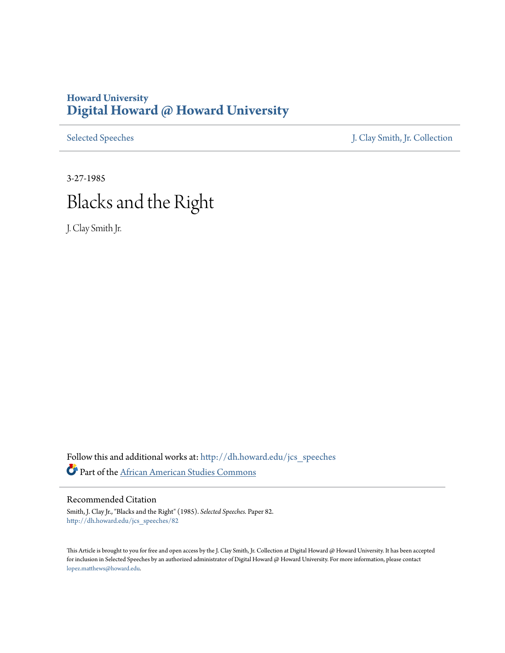## **Howard University [Digital Howard @ Howard University](http://dh.howard.edu?utm_source=dh.howard.edu%2Fjcs_speeches%2F82&utm_medium=PDF&utm_campaign=PDFCoverPages)**

[Selected Speeches](http://dh.howard.edu/jcs_speeches?utm_source=dh.howard.edu%2Fjcs_speeches%2F82&utm_medium=PDF&utm_campaign=PDFCoverPages) [J. Clay Smith, Jr. Collection](http://dh.howard.edu/jcsmith?utm_source=dh.howard.edu%2Fjcs_speeches%2F82&utm_medium=PDF&utm_campaign=PDFCoverPages)

## 3-27-1985 Blacks and the Right

J. Clay Smith Jr.

Follow this and additional works at: [http://dh.howard.edu/jcs\\_speeches](http://dh.howard.edu/jcs_speeches?utm_source=dh.howard.edu%2Fjcs_speeches%2F82&utm_medium=PDF&utm_campaign=PDFCoverPages) Part of the [African American Studies Commons](http://network.bepress.com/hgg/discipline/567?utm_source=dh.howard.edu%2Fjcs_speeches%2F82&utm_medium=PDF&utm_campaign=PDFCoverPages)

## Recommended Citation

Smith, J. Clay Jr., "Blacks and the Right" (1985). *Selected Speeches.* Paper 82. [http://dh.howard.edu/jcs\\_speeches/82](http://dh.howard.edu/jcs_speeches/82?utm_source=dh.howard.edu%2Fjcs_speeches%2F82&utm_medium=PDF&utm_campaign=PDFCoverPages)

This Article is brought to you for free and open access by the J. Clay Smith, Jr. Collection at Digital Howard @ Howard University. It has been accepted for inclusion in Selected Speeches by an authorized administrator of Digital Howard @ Howard University. For more information, please contact [lopez.matthews@howard.edu.](mailto:lopez.matthews@howard.edu)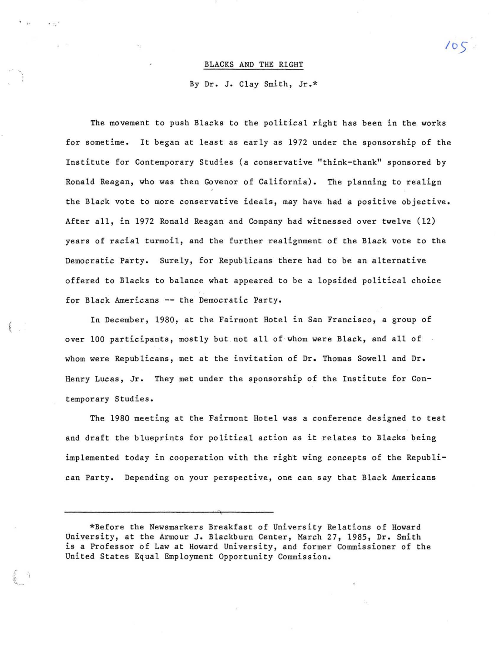## BLACKS AND THE RIGHT

*l oS* 

By Dr. J. Clay Smith, Jr.\*

The movement to push Blacks to the political right has been in the works for sometime. It began at least as early as 1972 under the sponsorship of the Institute for Contemporary Studies (a conservative "think-thank" sponsored by Ronald Reagan, who was then Govenor of California). The planning to realign **the Black vote to more conservative ideals, may have had a positive objective.**  After all, in 1972 Ronald Reagan and Company had witnessed over twelve (12) years of racial turmoil, and the further realignment of the Black vote to the Democratic Party. Surely, for Republicans there had to be an alternative offered to Blacks to balance what appeared to be a lopsided political choice for Black Americans **--** the Democratic Party.

In December, 1980, at the Fairmont Hotel in San Francisco, a group of over 100 participants, mostly but not all of whom were Black, and all of whom were Republicans, met at the invitation of Dr. Thomas Sowell and Dr. Henry Lucas, Jr. They met under the sponsorship of the Institute for Contemporary Studies.

I  $\tilde{t}$ 

> 5.- .<,.--

The 1980 meeting at the Fairmont Hotel was a conference designed to test and draft the blueprints for political action as it relates to Blacks being implemented today in cooperation with the right wing concepts of the Republican Party. Depending on your perspective, one can say that Black Americans

" .

<sup>\*</sup>Before the Newsmarkers Breakfast of University Relations of Howard University, at the Armour J. Blackburn Center, March 27, 1985, Dr. Smith is a Professor of Law at Howard University, and former Commissioner of the United States Equal Employment Opportunity Commission.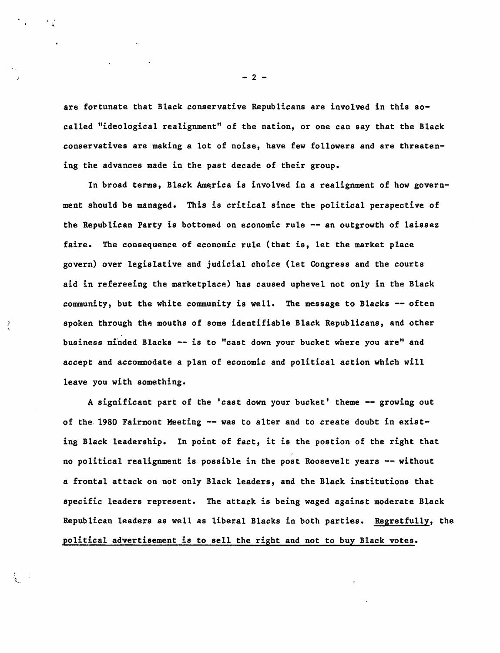are fortunate that Black conservative Republicans are involved in this socalled "ideological realignment" of the nation, or one can say that the Black conservatives are making a lot of noise, have few followers and are threatening the advances made in the past decade of their group.

In broad terms, Black America is involved in a realignment of how government should be managed. This is critical since the political perspective of the Republican Party is bottomed on economic rule -- an outgrowth of laissez faire. The consequence of economic rule (that is, let the market place govern) over legislative and judicial choice (let Congress and the courts aid in refereeing the marketplace) has caused uphevel not only in the Black community, but the white community is well. The message to Blacks -- often spoken through the mouths of some identifiable Black Republicans, and other business minded Blacks -- is to "cast down your bucket where you are" and accept and accommodate a plan of economic and political action which will leave you with something.

A significant part of the 'cast down your bucket' theme -- growing out of the 1980 Fairmont Meeting -- was to alter and to create doubt in existing Black leadership. In point of fact, it is the postion of the right that no political realignment is possible in the post Roosevelt years -- without a frontal attack on not only Black leaders, and the Black institutions that specific leaders represent. The attack is being waged against moderate Black Republican leaders as well as liberal Blacks in both parties. Regretfully, the political advertisement is to sell the right and not to buy Black votes.

 $- 2 -$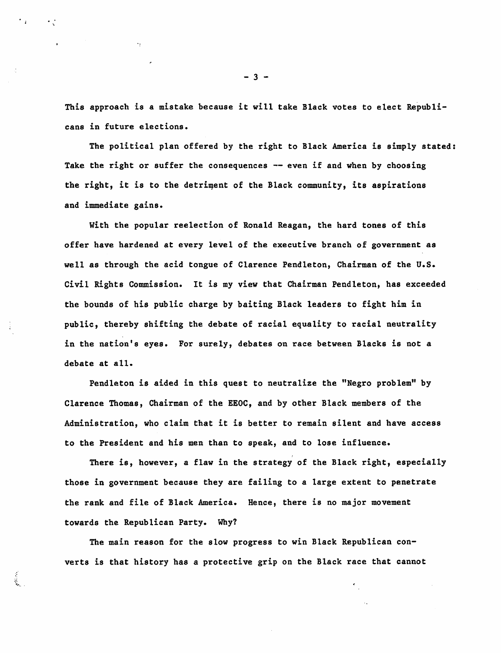This approach is a mistake because it will take Black votes to elect Republicans in future elections.

The political plan offered by the right to Black America is simply stated: Take the right or suffer the consequences  $-$  even if and when by choosing the right, it is to the detriment of the Black community, its aspirations and immediate gains.

with the popular reelection of Ronald Reagan, the hard tones of this offer have hardened at every level of the executive branch of government as well as through the acid tongue of Clarence Pendleton, Chairman of the U.S. Civil Rights Commission. It is my view that Chairman Pendleton, has exceeded the bounds of his public charge by baiting Black leaders to fight him in public, thereby shifting the debate of racial equality to racial neutrality in the nation's eyes. For surely, debates on race between Blacks is not a debate at all.

Pendleton is aided in this quest to neutralize the "Negro problem" by Clarence Thomas, Chairman of the EEOC, and by other Black members of the Administration, who claim that it is better to remain silent and have access to the President and his men than to speak, and to lose influence.

There is, however, a flaw in the strategy of the Black right, especially those in government because they are failing to a large extent to penetrate the rank and file of Black America. Hence, there is no major movement towards the Republican Party. Why?

The main reason for the slow progress to win Black Republican converts is that history has a protective grip on the Black race that cannot

 $\mathcal{L}_{\mathbf{r}}$ 

- 3 -

 $\epsilon_{\rm T}$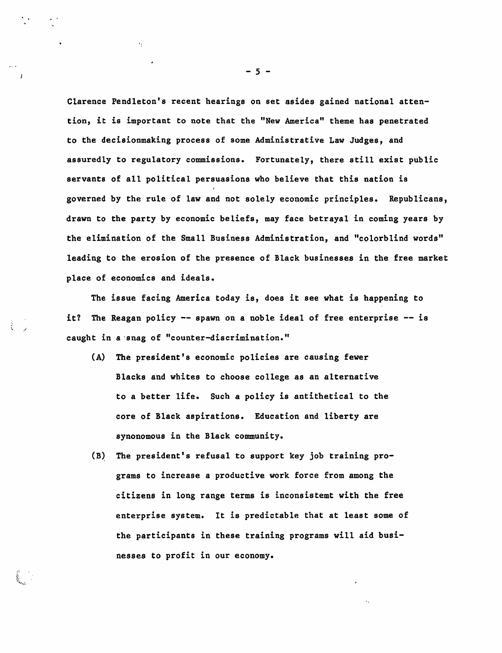Clarence Pendleton's recent hearings on set asides gained national attention, it is important to note that the "New America" theme bas penetrated to the decisionmaking process of some Administrative Law Judges, and assuredly to regulatory commissions. Fortunately, there still exist public servants of all political persuasions who believe that this nation is governed by the rule of law and not solely economic principles. Republicans, drawn to the party by economic beliefs, may face betrayal in coming years by the elimination of the Small Business Administration, and "colorblind words" leading to the erosion of the presence of Black businesses in the free market place of economics and ideals.

The issue facing America today is, does it see what is happening to it? The Reagan policy -- spawn on a noble ideal of free enterprise -- is caught in a 'snag of "counter-discrimination."

- (A) The president's economic policies are causing fewer Blacks and whites to choose college as an alternative to a better life. Such a policy is antithetical to the core of Black aspirations. Education and liberty are synonomous in the Black community.
- (B) The president's refusal to support key job training programs to increase a productive work force from among the citizens in long range terms is inconsistemt with the free enterprise system. It is predictable that at least some of the participants in these training programs will aid businesses to profit in our economy.

- 5 -

..

 $\cdot$ .

I ~ • ~~. "\. ... ...:.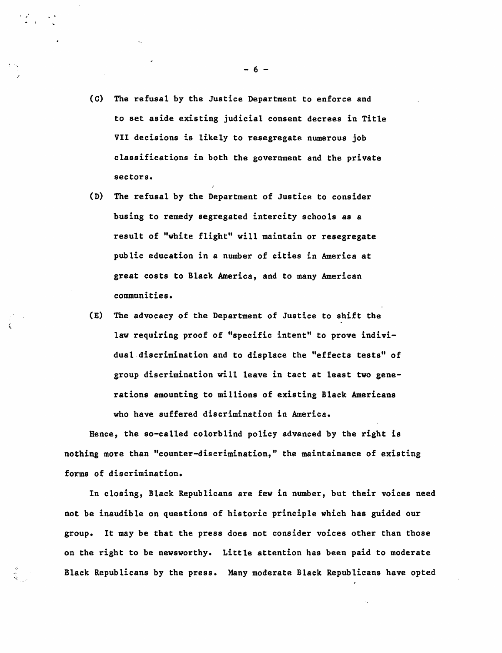(c) The refusal by the Justice Department to enforce and to set aside existing judicial consent decrees in Title VII decisions is likely to resegregate numerous job classifications in both the government and the private sectors.

 $\mathbb{Z}^{\mathbb{Z}}$ 

 $\lambda$ 

- (D) The refusal by the Department of Justice to consider busing to remedy segregated intercity schools as a result of "white flight" will maintain or resegregate public education in a number of cities in America at great costs to Black America, and to many American communities.
- (E) The advocacy of the Department of Justice to shift the law requiring proof of "specific intent" to prove individual discrimination and to displace the "effects tests" of group discrimination will leave in tact at least two generations amounting to millions of existing Black Americans who have suffered discrimination in America.

Hence, the so-called colorblind policy advanced by the right is nothing more than "counter-discrimination," the maintainance of existing forms of discrimination.

In closing, Black Republicans are few in number, but their voices need not be inaudible on questions of historic principle which has guided our group. It may be that the press does not consider voices other than those on the right to be newsworthy. Little attention has been paid to moderate Black Republicans by the press. Many moderate Black Republicans have opted